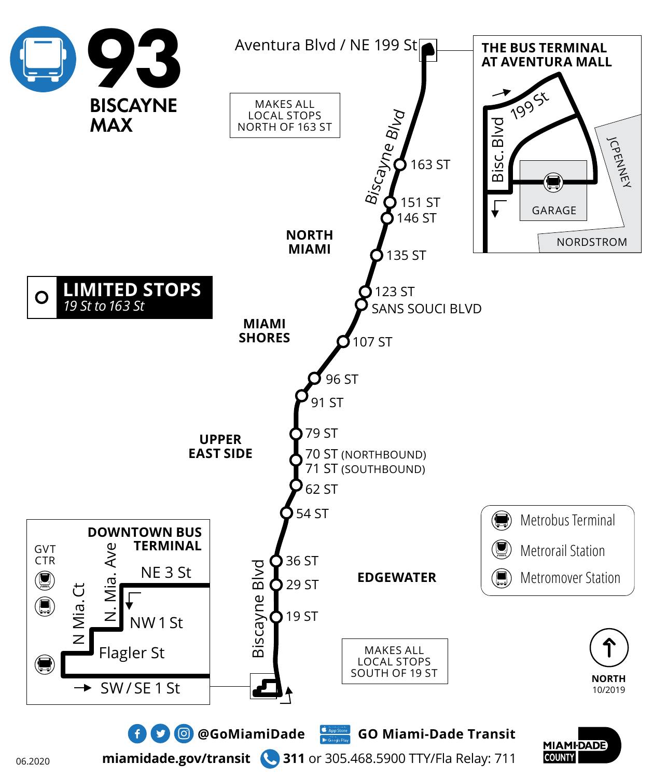